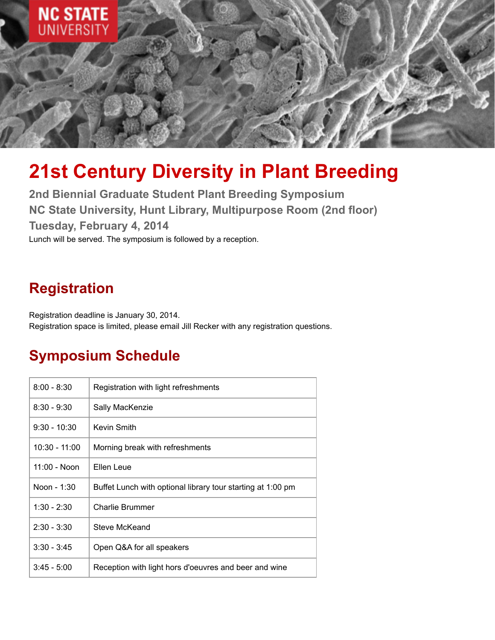

# **21st Century Diversity in Plant Breeding**

**2nd Biennial Graduate Student Plant Breeding Symposium NC State University, Hunt Library, Multipurpose Room (2nd floor) Tuesday, February 4, 2014** Lunch will be served. The symposium is followed by a reception.

# **Registration**

Registration deadline is January 30, 2014. Registration space is limited, please email Jill Recker with any registration questions.

## **Symposium Schedule**

| $8:00 - 8:30$  | Registration with light refreshments                        |
|----------------|-------------------------------------------------------------|
| $8:30 - 9:30$  | Sally MacKenzie                                             |
| $9:30 - 10:30$ | Kevin Smith                                                 |
| 10:30 - 11:00  | Morning break with refreshments                             |
| 11:00 - Noon   | Ellen Leue                                                  |
| Noon - 1:30    | Buffet Lunch with optional library tour starting at 1:00 pm |
| $1:30 - 2:30$  | <b>Charlie Brummer</b>                                      |
| $2:30 - 3:30$  | Steve McKeand                                               |
| $3:30 - 3:45$  | Open Q&A for all speakers                                   |
| $3:45 - 5:00$  | Reception with light hors d'oeuvres and beer and wine       |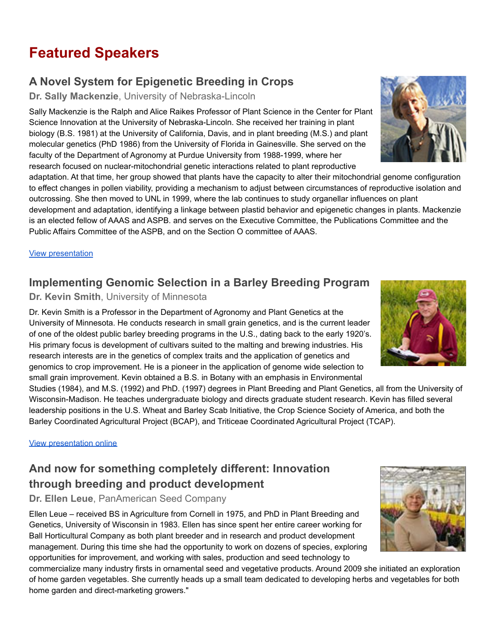# **Featured Speakers**

#### **A Novel System for Epigenetic Breeding in Crops**

**Dr. Sally Mackenzie**, University of Nebraska-Lincoln

Sally Mackenzie is the Ralph and Alice Raikes Professor of Plant Science in the Center for Plant Science Innovation at the University of Nebraska-Lincoln. She received her training in plant biology (B.S. 1981) at the University of California, Davis, and in plant breeding (M.S.) and plant molecular genetics (PhD 1986) from the University of Florida in Gainesville. She served on the faculty of the Department of Agronomy at Purdue University from 1988-1999, where her research focused on nuclear-mitochondrial genetic interactions related to plant reproductive

adaptation. At that time, her group showed that plants have the capacity to alter their mitochondrial genome configuration to effect changes in pollen viability, providing a mechanism to adjust between circumstances of reproductive isolation and outcrossing. She then moved to UNL in 1999, where the lab continues to study organellar influences on plant development and adaptation, identifying a linkage between plastid behavior and epigenetic changes in plants. Mackenzie is an elected fellow of AAAS and ASPB. and serves on the Executive Committee, the Publications Committee and the Public Affairs Committee of the ASPB, and on the Section O committee of AAAS.

View [presentation](https://ncsu.hosted.panopto.com/Panopto/Pages/Viewer.aspx?id=bc4f4eb9-4dd4-43b9-917d-acb600058d0c)

#### **Implementing Genomic Selection in a Barley Breeding Program**

**Dr. Kevin Smith**, University of Minnesota

Dr. Kevin Smith is a Professor in the Department of Agronomy and Plant Genetics at the University of Minnesota. He conducts research in small grain genetics, and is the current leader of one of the oldest public barley breeding programs in the U.S., dating back to the early 1920's. His primary focus is development of cultivars suited to the malting and brewing industries. His research interests are in the genetics of complex traits and the application of genetics and genomics to crop improvement. He is a pioneer in the application of genome wide selection to small grain improvement. Kevin obtained a B.S. in Botany with an emphasis in Environmental

Studies (1984), and M.S. (1992) and PhD. (1997) degrees in Plant Breeding and Plant Genetics, all from the University of Wisconsin-Madison. He teaches undergraduate biology and directs graduate student research. Kevin has filled several leadership positions in the U.S. Wheat and Barley Scab Initiative, the Crop Science Society of America, and both the Barley Coordinated Agricultural Project (BCAP), and Triticeae Coordinated Agricultural Project (TCAP).

View [presentation](https://ncsu.hosted.panopto.com/Panopto/Pages/Viewer.aspx?id=50cd0b85-ecb6-4af4-9a61-acb600057356) online

### **And now for something completely different: Innovation through breeding and product development**

**Dr. Ellen Leue**, PanAmerican Seed Company

Ellen Leue – received BS in Agriculture from Cornell in 1975, and PhD in Plant Breeding and Genetics, University of Wisconsin in 1983. Ellen has since spent her entire career working for Ball Horticultural Company as both plant breeder and in research and product development management. During this time she had the opportunity to work on dozens of species, exploring opportunities for improvement, and working with sales, production and seed technology to

commercialize many industry firsts in ornamental seed and vegetative products. Around 2009 she initiated an exploration of home garden vegetables. She currently heads up a small team dedicated to developing herbs and vegetables for both home garden and direct-marketing growers."